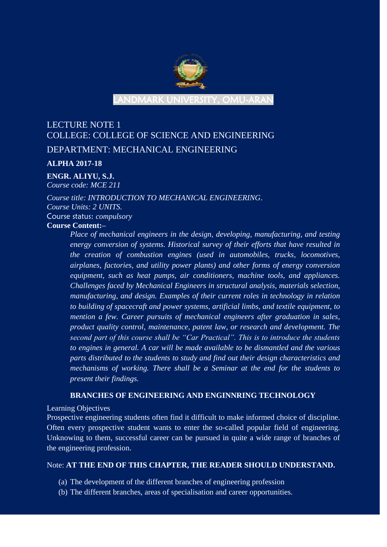

LANDMARK UNIVERSITY, OMU-ARAN

# LECTURE NOTE 1 COLLEGE: COLLEGE OF SCIENCE AND ENGINEERING DEPARTMENT: MECHANICAL ENGINEERING

#### **ALPHA 2017-18**

#### **ENGR. ALIYU, S.J.**

*Course code: MCE 211*

*Course title: INTRODUCTION TO MECHANICAL ENGINEERING*. *Course Units: 2 UNITS.* Course status: *compulsory* **Course Content:–**

*Place of mechanical engineers in the design, developing, manufacturing, and testing energy conversion of systems. Historical survey of their efforts that have resulted in the creation of combustion engines (used in automobiles, trucks, locomotives, airplanes, factories, and utility power plants) and other forms of energy conversion equipment, such as heat pumps, air conditioners, machine tools, and appliances. Challenges faced by Mechanical Engineers in structural analysis, materials selection, manufacturing, and design. Examples of their current roles in technology in relation to building of spacecraft and power systems, artificial limbs, and textile equipment, to mention a few. Career pursuits of mechanical engineers after graduation in sales, product quality control, maintenance, patent law, or research and development. The second part of this course shall be "Car Practical". This is to introduce the students to engines in general. A car will be made available to be dismantled and the various parts distributed to the students to study and find out their design characteristics and mechanisms of working. There shall be a Seminar at the end for the students to present their findings.*

#### **BRANCHES OF ENGINEERING AND ENGINNRING TECHNOLOGY**

Learning Objectives

Prospective engineering students often find it difficult to make informed choice of discipline. Often every prospective student wants to enter the so-called popular field of engineering. Unknowing to them, successful career can be pursued in quite a wide range of branches of the engineering profession.

#### Note: **AT THE END OF THIS CHAPTER, THE READER SHOULD UNDERSTAND.**

- (a) The development of the different branches of engineering profession
- (b) The different branches, areas of specialisation and career opportunities.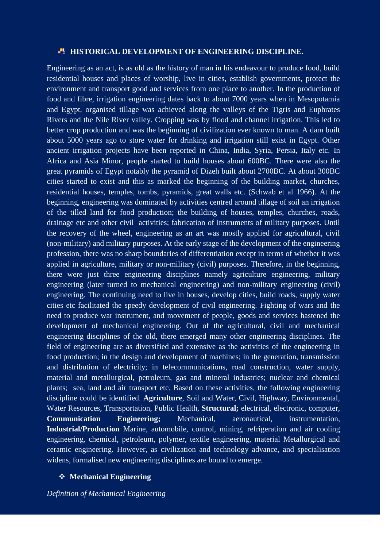#### **HISTORICAL DEVELOPMENT OF ENGINEERING DISCIPLINE.**

Engineering as an act, is as old as the history of man in his endeavour to produce food, build residential houses and places of worship, live in cities, establish governments, protect the environment and transport good and services from one place to another. In the production of food and fibre, irrigation engineering dates back to about 7000 years when in Mesopotamia and Egypt, organised tillage was achieved along the valleys of the Tigris and Euphrates Rivers and the Nile River valley. Cropping was by flood and channel irrigation. This led to better crop production and was the beginning of civilization ever known to man. A dam built about 5000 years ago to store water for drinking and irrigation still exist in Egypt. Other ancient irrigation projects have been reported in China, India, Syria, Persia, Italy etc. In Africa and Asia Minor, people started to build houses about 600BC. There were also the great pyramids of Egypt notably the pyramid of Dizeh built about 2700BC. At about 300BC cities started to exist and this as marked the beginning of the building market, churches, residential houses, temples, tombs, pyramids, great walls etc. (Schwab et al 1966). At the beginning, engineering was dominated by activities centred around tillage of soil an irrigation of the tilled land for food production; the building of houses, temples, churches, roads, drainage etc and other civil activities; fabrication of instruments of military purposes. Until the recovery of the wheel, engineering as an art was mostly applied for agricultural, civil (non-military) and military purposes. At the early stage of the development of the engineering profession, there was no sharp boundaries of differentiation except in terms of whether it was applied in agriculture, military or non-military (civil) purposes. Therefore, in the beginning, there were just three engineering disciplines namely agriculture engineering, military engineering (later turned to mechanical engineering) and non-military engineering (civil) engineering. The continuing need to live in houses, develop cities, build roads, supply water cities etc facilitated the speedy development of civil engineering. Fighting of wars and the need to produce war instrument, and movement of people, goods and services hastened the development of mechanical engineering. Out of the agricultural, civil and mechanical engineering disciplines of the old, there emerged many other engineering disciplines. The field of engineering are as diversified and extensive as the activities of the engineering in food production; in the design and development of machines; in the generation, transmission and distribution of electricity; in telecommunications, road construction, water supply, material and metallurgical, petroleum, gas and mineral industries; nuclear and chemical plants; sea, land and air transport etc. Based on these activities, the following engineering discipline could be identified. **Agriculture**, Soil and Water, Civil, Highway, Environmental, Water Resources, Transportation, Public Health, **Structural;** electrical, electronic, computer, **Communication Engineering;** Mechanical, aeronautical, instrumentation, **Industrial/Production** Marine, automobile, control, mining, refrigeration and air cooling engineering, chemical, petroleum, polymer, textile engineering, material Metallurgical and ceramic engineering. However, as civilization and technology advance, and specialisation widens, formalised new engineering disciplines are bound to emerge.

#### **Mechanical Engineering**

*Definition of Mechanical Engineering*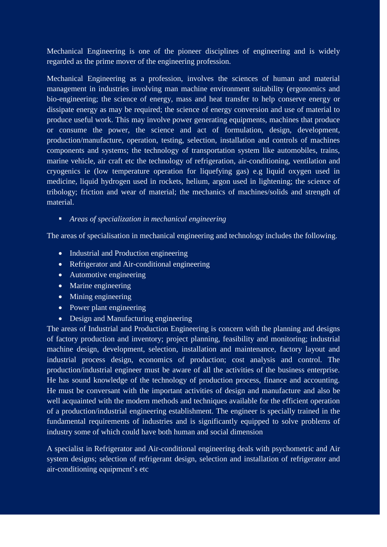Mechanical Engineering is one of the pioneer disciplines of engineering and is widely regarded as the prime mover of the engineering profession.

Mechanical Engineering as a profession, involves the sciences of human and material management in industries involving man machine environment suitability (ergonomics and bio-engineering; the science of energy, mass and heat transfer to help conserve energy or dissipate energy as may be required; the science of energy conversion and use of material to produce useful work. This may involve power generating equipments, machines that produce or consume the power, the science and act of formulation, design, development, production/manufacture, operation, testing, selection, installation and controls of machines components and systems; the technology of transportation system like automobiles, trains, marine vehicle, air craft etc the technology of refrigeration, air-conditioning, ventilation and cryogenics ie (low temperature operation for liquefying gas) e.g liquid oxygen used in medicine, liquid hydrogen used in rockets, helium, argon used in lightening; the science of tribology; friction and wear of material; the mechanics of machines/solids and strength of material.

*Areas of specialization in mechanical engineering*

The areas of specialisation in mechanical engineering and technology includes the following.

- Industrial and Production engineering
- Refrigerator and Air-conditional engineering
- Automotive engineering
- Marine engineering
- Mining engineering
- Power plant engineering
- Design and Manufacturing engineering

The areas of Industrial and Production Engineering is concern with the planning and designs of factory production and inventory; project planning, feasibility and monitoring; industrial machine design, development, selection, installation and maintenance, factory layout and industrial process design, economics of production; cost analysis and control. The production/industrial engineer must be aware of all the activities of the business enterprise. He has sound knowledge of the technology of production process, finance and accounting. He must be conversant with the important activities of design and manufacture and also be well acquainted with the modern methods and techniques available for the efficient operation of a production/industrial engineering establishment. The engineer is specially trained in the fundamental requirements of industries and is significantly equipped to solve problems of industry some of which could have both human and social dimension

A specialist in Refrigerator and Air-conditional engineering deals with psychometric and Air system designs; selection of refrigerant design, selection and installation of refrigerator and air-conditioning equipment's etc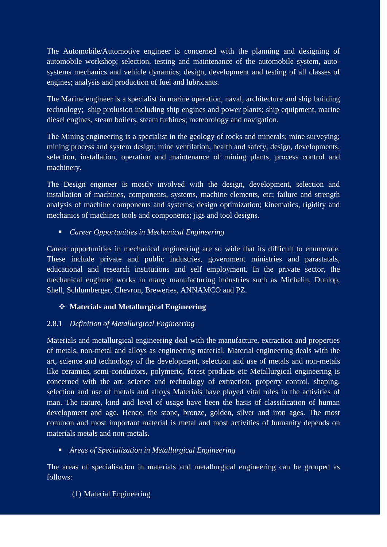The Automobile/Automotive engineer is concerned with the planning and designing of automobile workshop; selection, testing and maintenance of the automobile system, autosystems mechanics and vehicle dynamics; design, development and testing of all classes of engines; analysis and production of fuel and lubricants.

The Marine engineer is a specialist in marine operation, naval, architecture and ship building technology; ship prolusion including ship engines and power plants; ship equipment, marine diesel engines, steam boilers, steam turbines; meteorology and navigation.

The Mining engineering is a specialist in the geology of rocks and minerals; mine surveying; mining process and system design; mine ventilation, health and safety; design, developments, selection, installation, operation and maintenance of mining plants, process control and machinery.

The Design engineer is mostly involved with the design, development, selection and installation of machines, components, systems, machine elements, etc; failure and strength analysis of machine components and systems; design optimization; kinematics, rigidity and mechanics of machines tools and components; jigs and tool designs.

*Career Opportunities in Mechanical Engineering*

Career opportunities in mechanical engineering are so wide that its difficult to enumerate. These include private and public industries, government ministries and parastatals, educational and research institutions and self employment. In the private sector, the mechanical engineer works in many manufacturing industries such as Michelin, Dunlop, Shell, Schlumberger, Chevron, Breweries, ANNAMCO and PZ.

# **Materials and Metallurgical Engineering**

# 2.8.1 *Definition of Metallurgical Engineering*

Materials and metallurgical engineering deal with the manufacture, extraction and properties of metals, non-metal and alloys as engineering material. Material engineering deals with the art, science and technology of the development, selection and use of metals and non-metals like ceramics, semi-conductors, polymeric, forest products etc Metallurgical engineering is concerned with the art, science and technology of extraction, property control, shaping, selection and use of metals and alloys Materials have played vital roles in the activities of man. The nature, kind and level of usage have been the basis of classification of human development and age. Hence, the stone, bronze, golden, silver and iron ages. The most common and most important material is metal and most activities of humanity depends on materials metals and non-metals.

### *Areas of Specialization in Metallurgical Engineering*

The areas of specialisation in materials and metallurgical engineering can be grouped as follows:

### (1) Material Engineering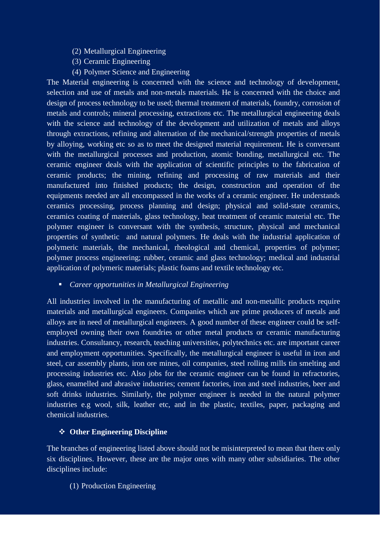- (2) Metallurgical Engineering
- (3) Ceramic Engineering
- (4) Polymer Science and Engineering

The Material engineering is concerned with the science and technology of development, selection and use of metals and non-metals materials. He is concerned with the choice and design of process technology to be used; thermal treatment of materials, foundry, corrosion of metals and controls; mineral processing, extractions etc. The metallurgical engineering deals with the science and technology of the development and utilization of metals and alloys through extractions, refining and alternation of the mechanical/strength properties of metals by alloying, working etc so as to meet the designed material requirement. He is conversant with the metallurgical processes and production, atomic bonding, metallurgical etc. The ceramic engineer deals with the application of scientific principles to the fabrication of ceramic products; the mining, refining and processing of raw materials and their manufactured into finished products; the design, construction and operation of the equipments needed are all encompassed in the works of a ceramic engineer. He understands ceramics processing, process planning and design; physical and solid-state ceramics, ceramics coating of materials, glass technology, heat treatment of ceramic material etc. The polymer engineer is conversant with the synthesis, structure, physical and mechanical properties of synthetic and natural polymers. He deals with the industrial application of polymeric materials, the mechanical, rheological and chemical, properties of polymer; polymer process engineering; rubber, ceramic and glass technology; medical and industrial application of polymeric materials; plastic foams and textile technology etc.

*Career opportunities in Metallurgical Engineering*

All industries involved in the manufacturing of metallic and non-metallic products require materials and metallurgical engineers. Companies which are prime producers of metals and alloys are in need of metallurgical engineers. A good number of these engineer could be selfemployed owning their own foundries or other metal products or ceramic manufacturing industries. Consultancy, research, teaching universities, polytechnics etc. are important career and employment opportunities. Specifically, the metallurgical engineer is useful in iron and steel, car assembly plants, iron ore mines, oil companies, steel rolling mills tin smelting and processing industries etc. Also jobs for the ceramic engineer can be found in refractories, glass, enamelled and abrasive industries; cement factories, iron and steel industries, beer and soft drinks industries. Similarly, the polymer engineer is needed in the natural polymer industries e.g wool, silk, leather etc, and in the plastic, textiles, paper, packaging and chemical industries.

#### **Other Engineering Discipline**

The branches of engineering listed above should not be misinterpreted to mean that there only six disciplines. However, these are the major ones with many other subsidiaries. The other disciplines include:

(1) Production Engineering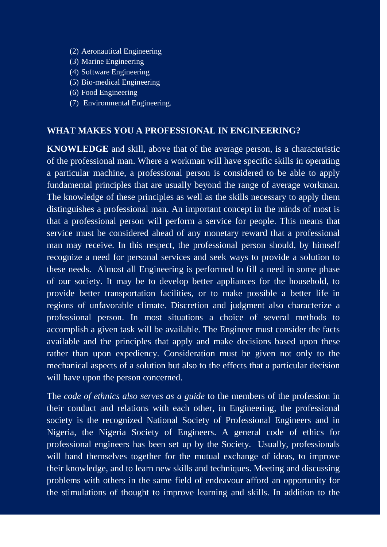- (2) Aeronautical Engineering
- (3) Marine Engineering
- (4) Software Engineering
- (5) Bio-medical Engineering
- (6) Food Engineering
- (7) Environmental Engineering.

#### **WHAT MAKES YOU A PROFESSIONAL IN ENGINEERING?**

**KNOWLEDGE** and skill, above that of the average person, is a characteristic of the professional man. Where a workman will have specific skills in operating a particular machine, a professional person is considered to be able to apply fundamental principles that are usually beyond the range of average workman. The knowledge of these principles as well as the skills necessary to apply them distinguishes a professional man. An important concept in the minds of most is that a professional person will perform a service for people. This means that service must be considered ahead of any monetary reward that a professional man may receive. In this respect, the professional person should, by himself recognize a need for personal services and seek ways to provide a solution to these needs. Almost all Engineering is performed to fill a need in some phase of our society. It may be to develop better appliances for the household, to provide better transportation facilities, or to make possible a better life in regions of unfavorable climate. Discretion and judgment also characterize a professional person. In most situations a choice of several methods to accomplish a given task will be available. The Engineer must consider the facts available and the principles that apply and make decisions based upon these rather than upon expediency. Consideration must be given not only to the mechanical aspects of a solution but also to the effects that a particular decision will have upon the person concerned.

The *code of ethnics also serves as a guide* to the members of the profession in their conduct and relations with each other, in Engineering, the professional society is the recognized National Society of Professional Engineers and in Nigeria, the Nigeria Society of Engineers. A general code of ethics for professional engineers has been set up by the Society. Usually, professionals will band themselves together for the mutual exchange of ideas, to improve their knowledge, and to learn new skills and techniques. Meeting and discussing problems with others in the same field of endeavour afford an opportunity for the stimulations of thought to improve learning and skills. In addition to the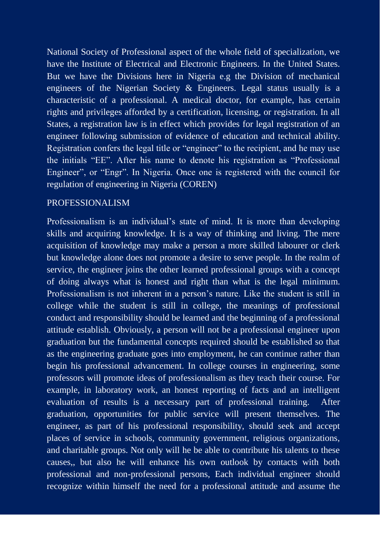National Society of Professional aspect of the whole field of specialization, we have the Institute of Electrical and Electronic Engineers. In the United States. But we have the Divisions here in Nigeria e.g the Division of mechanical engineers of the Nigerian Society & Engineers. Legal status usually is a characteristic of a professional. A medical doctor, for example, has certain rights and privileges afforded by a certification, licensing, or registration. In all States, a registration law is in effect which provides for legal registration of an engineer following submission of evidence of education and technical ability. Registration confers the legal title or "engineer" to the recipient, and he may use the initials "EE". After his name to denote his registration as "Professional Engineer", or "Engr". In Nigeria. Once one is registered with the council for regulation of engineering in Nigeria (COREN)

### PROFESSIONALISM

Professionalism is an individual's state of mind. It is more than developing skills and acquiring knowledge. It is a way of thinking and living. The mere acquisition of knowledge may make a person a more skilled labourer or clerk but knowledge alone does not promote a desire to serve people. In the realm of service, the engineer joins the other learned professional groups with a concept of doing always what is honest and right than what is the legal minimum. Professionalism is not inherent in a person"s nature. Like the student is still in college while the student is still in college, the meanings of professional conduct and responsibility should be learned and the beginning of a professional attitude establish. Obviously, a person will not be a professional engineer upon graduation but the fundamental concepts required should be established so that as the engineering graduate goes into employment, he can continue rather than begin his professional advancement. In college courses in engineering, some professors will promote ideas of professionalism as they teach their course. For example, in laboratory work, an honest reporting of facts and an intelligent evaluation of results is a necessary part of professional training. After graduation, opportunities for public service will present themselves. The engineer, as part of his professional responsibility, should seek and accept places of service in schools, community government, religious organizations, and charitable groups. Not only will he be able to contribute his talents to these causes,, but also he will enhance his own outlook by contacts with both professional and non-professional persons, Each individual engineer should recognize within himself the need for a professional attitude and assume the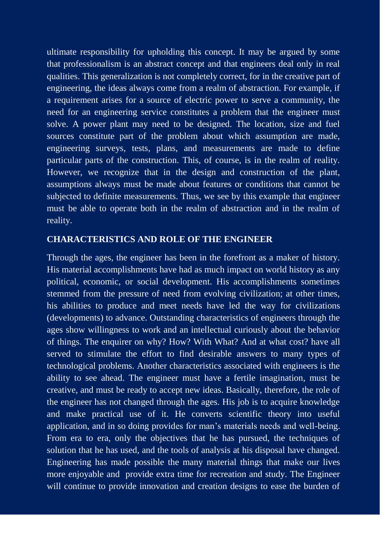ultimate responsibility for upholding this concept. It may be argued by some that professionalism is an abstract concept and that engineers deal only in real qualities. This generalization is not completely correct, for in the creative part of engineering, the ideas always come from a realm of abstraction. For example, if a requirement arises for a source of electric power to serve a community, the need for an engineering service constitutes a problem that the engineer must solve. A power plant may need to be designed. The location, size and fuel sources constitute part of the problem about which assumption are made, engineering surveys, tests, plans, and measurements are made to define particular parts of the construction. This, of course, is in the realm of reality. However, we recognize that in the design and construction of the plant, assumptions always must be made about features or conditions that cannot be subjected to definite measurements. Thus, we see by this example that engineer must be able to operate both in the realm of abstraction and in the realm of reality.

# **CHARACTERISTICS AND ROLE OF THE ENGINEER**

Through the ages, the engineer has been in the forefront as a maker of history. His material accomplishments have had as much impact on world history as any political, economic, or social development. His accomplishments sometimes stemmed from the pressure of need from evolving civilization; at other times, his abilities to produce and meet needs have led the way for civilizations (developments) to advance. Outstanding characteristics of engineers through the ages show willingness to work and an intellectual curiously about the behavior of things. The enquirer on why? How? With What? And at what cost? have all served to stimulate the effort to find desirable answers to many types of technological problems. Another characteristics associated with engineers is the ability to see ahead. The engineer must have a fertile imagination, must be creative, and must be ready to accept new ideas. Basically, therefore, the role of the engineer has not changed through the ages. His job is to acquire knowledge and make practical use of it. He converts scientific theory into useful application, and in so doing provides for man"s materials needs and well-being. From era to era, only the objectives that he has pursued, the techniques of solution that he has used, and the tools of analysis at his disposal have changed. Engineering has made possible the many material things that make our lives more enjoyable and provide extra time for recreation and study. The Engineer will continue to provide innovation and creation designs to ease the burden of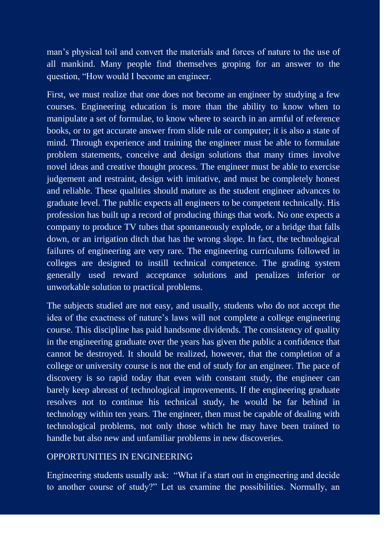man"s physical toil and convert the materials and forces of nature to the use of all mankind. Many people find themselves groping for an answer to the question, "How would I become an engineer.

First, we must realize that one does not become an engineer by studying a few courses. Engineering education is more than the ability to know when to manipulate a set of formulae, to know where to search in an armful of reference books, or to get accurate answer from slide rule or computer; it is also a state of mind. Through experience and training the engineer must be able to formulate problem statements, conceive and design solutions that many times involve novel ideas and creative thought process. The engineer must be able to exercise judgement and restraint, design with imitative, and must be completely honest and reliable. These qualities should mature as the student engineer advances to graduate level. The public expects all engineers to be competent technically. His profession has built up a record of producing things that work. No one expects a company to produce TV tubes that spontaneously explode, or a bridge that falls down, or an irrigation ditch that has the wrong slope. In fact, the technological failures of engineering are very rare. The engineering curriculums followed in colleges are designed to instill technical competence. The grading system generally used reward acceptance solutions and penalizes inferior or unworkable solution to practical problems.

The subjects studied are not easy, and usually, students who do not accept the idea of the exactness of nature's laws will not complete a college engineering course. This discipline has paid handsome dividends. The consistency of quality in the engineering graduate over the years has given the public a confidence that cannot be destroyed. It should be realized, however, that the completion of a college or university course is not the end of study for an engineer. The pace of discovery is so rapid today that even with constant study, the engineer can barely keep abreast of technological improvements. If the engineering graduate resolves not to continue his technical study, he would be far behind in technology within ten years. The engineer, then must be capable of dealing with technological problems, not only those which he may have been trained to handle but also new and unfamiliar problems in new discoveries.

### OPPORTUNITIES IN ENGINEERING

Engineering students usually ask: "What if a start out in engineering and decide to another course of study?" Let us examine the possibilities. Normally, an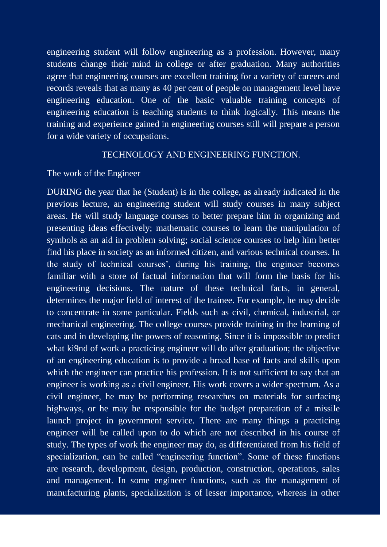engineering student will follow engineering as a profession. However, many students change their mind in college or after graduation. Many authorities agree that engineering courses are excellent training for a variety of careers and records reveals that as many as 40 per cent of people on management level have engineering education. One of the basic valuable training concepts of engineering education is teaching students to think logically. This means the training and experience gained in engineering courses still will prepare a person for a wide variety of occupations.

# TECHNOLOGY AND ENGINEERING FUNCTION.

#### The work of the Engineer

DURING the year that he (Student) is in the college, as already indicated in the previous lecture, an engineering student will study courses in many subject areas. He will study language courses to better prepare him in organizing and presenting ideas effectively; mathematic courses to learn the manipulation of symbols as an aid in problem solving; social science courses to help him better find his place in society as an informed citizen, and various technical courses. In the study of technical courses', during his training, the engineer becomes familiar with a store of factual information that will form the basis for his engineering decisions. The nature of these technical facts, in general, determines the major field of interest of the trainee. For example, he may decide to concentrate in some particular. Fields such as civil, chemical, industrial, or mechanical engineering. The college courses provide training in the learning of cats and in developing the powers of reasoning. Since it is impossible to predict what ki9nd of work a practicing engineer will do after graduation; the objective of an engineering education is to provide a broad base of facts and skills upon which the engineer can practice his profession. It is not sufficient to say that an engineer is working as a civil engineer. His work covers a wider spectrum. As a civil engineer, he may be performing researches on materials for surfacing highways, or he may be responsible for the budget preparation of a missile launch project in government service. There are many things a practicing engineer will be called upon to do which are not described in his course of study. The types of work the engineer may do, as differentiated from his field of specialization, can be called "engineering function". Some of these functions are research, development, design, production, construction, operations, sales and management. In some engineer functions, such as the management of manufacturing plants, specialization is of lesser importance, whereas in other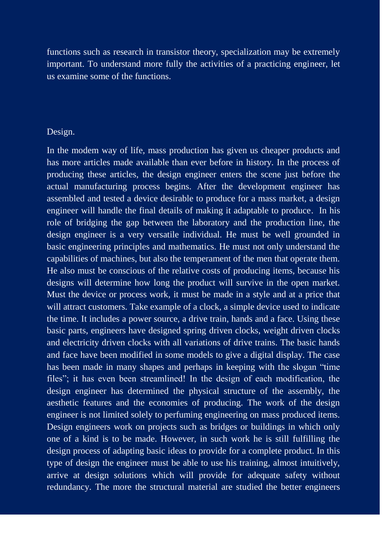functions such as research in transistor theory, specialization may be extremely important. To understand more fully the activities of a practicing engineer, let us examine some of the functions.

### Design.

In the modem way of life, mass production has given us cheaper products and has more articles made available than ever before in history. In the process of producing these articles, the design engineer enters the scene just before the actual manufacturing process begins. After the development engineer has assembled and tested a device desirable to produce for a mass market, a design engineer will handle the final details of making it adaptable to produce. In his role of bridging the gap between the laboratory and the production line, the design engineer is a very versatile individual. He must be well grounded in basic engineering principles and mathematics. He must not only understand the capabilities of machines, but also the temperament of the men that operate them. He also must be conscious of the relative costs of producing items, because his designs will determine how long the product will survive in the open market. Must the device or process work, it must be made in a style and at a price that will attract customers. Take example of a clock, a simple device used to indicate the time. It includes a power source, a drive train, hands and a face. Using these basic parts, engineers have designed spring driven clocks, weight driven clocks and electricity driven clocks with all variations of drive trains. The basic hands and face have been modified in some models to give a digital display. The case has been made in many shapes and perhaps in keeping with the slogan "time files"; it has even been streamlined! In the design of each modification, the design engineer has determined the physical structure of the assembly, the aesthetic features and the economies of producing. The work of the design engineer is not limited solely to perfuming engineering on mass produced items. Design engineers work on projects such as bridges or buildings in which only one of a kind is to be made. However, in such work he is still fulfilling the design process of adapting basic ideas to provide for a complete product. In this type of design the engineer must be able to use his training, almost intuitively, arrive at design solutions which will provide for adequate safety without redundancy. The more the structural material are studied the better engineers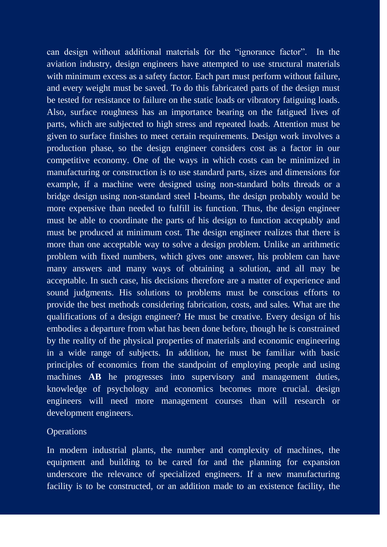can design without additional materials for the "ignorance factor". In the aviation industry, design engineers have attempted to use structural materials with minimum excess as a safety factor. Each part must perform without failure, and every weight must be saved. To do this fabricated parts of the design must be tested for resistance to failure on the static loads or vibratory fatiguing loads. Also, surface roughness has an importance bearing on the fatigued lives of parts, which are subjected to high stress and repeated loads. Attention must be given to surface finishes to meet certain requirements. Design work involves a production phase, so the design engineer considers cost as a factor in our competitive economy. One of the ways in which costs can be minimized in manufacturing or construction is to use standard parts, sizes and dimensions for example, if a machine were designed using non-standard bolts threads or a bridge design using non-standard steel I-beams, the design probably would be more expensive than needed to fulfill its function. Thus, the design engineer must be able to coordinate the parts of his design to function acceptably and must be produced at minimum cost. The design engineer realizes that there is more than one acceptable way to solve a design problem. Unlike an arithmetic problem with fixed numbers, which gives one answer, his problem can have many answers and many ways of obtaining a solution, and all may be acceptable. In such case, his decisions therefore are a matter of experience and sound judgments. His solutions to problems must be conscious efforts to provide the best methods considering fabrication, costs, and sales. What are the qualifications of a design engineer? He must be creative. Every design of his embodies a departure from what has been done before, though he is constrained by the reality of the physical properties of materials and economic engineering in a wide range of subjects. In addition, he must be familiar with basic principles of economics from the standpoint of employing people and using machines **AB** he progresses into supervisory and management duties, knowledge of psychology and economics becomes more crucial. design engineers will need more management courses than will research or development engineers.

#### **Operations**

In modern industrial plants, the number and complexity of machines, the equipment and building to be cared for and the planning for expansion underscore the relevance of specialized engineers. If a new manufacturing facility is to be constructed, or an addition made to an existence facility, the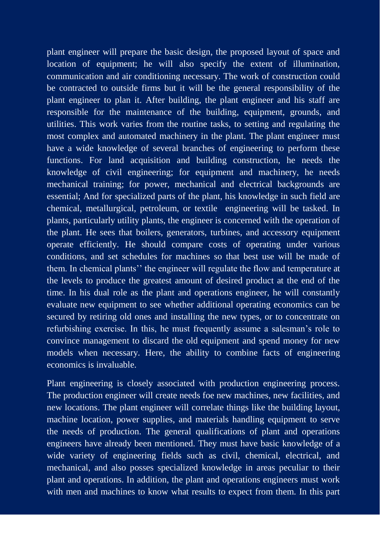plant engineer will prepare the basic design, the proposed layout of space and location of equipment; he will also specify the extent of illumination, communication and air conditioning necessary. The work of construction could be contracted to outside firms but it will be the general responsibility of the plant engineer to plan it. After building, the plant engineer and his staff are responsible for the maintenance of the building, equipment, grounds, and utilities. This work varies from the routine tasks, to setting and regulating the most complex and automated machinery in the plant. The plant engineer must have a wide knowledge of several branches of engineering to perform these functions. For land acquisition and building construction, he needs the knowledge of civil engineering; for equipment and machinery, he needs mechanical training; for power, mechanical and electrical backgrounds are essential; And for specialized parts of the plant, his knowledge in such field are chemical, metallurgical, petroleum, or textile engineering will be tasked. In plants, particularly utility plants, the engineer is concerned with the operation of the plant. He sees that boilers, generators, turbines, and accessory equipment operate efficiently. He should compare costs of operating under various conditions, and set schedules for machines so that best use will be made of them. In chemical plants" the engineer will regulate the flow and temperature at the levels to produce the greatest amount of desired product at the end of the time. In his dual role as the plant and operations engineer, he will constantly evaluate new equipment to see whether additional operating economics can be secured by retiring old ones and installing the new types, or to concentrate on refurbishing exercise. In this, he must frequently assume a salesman"s role to convince management to discard the old equipment and spend money for new models when necessary. Here, the ability to combine facts of engineering economics is invaluable.

Plant engineering is closely associated with production engineering process. The production engineer will create needs foe new machines, new facilities, and new locations. The plant engineer will correlate things like the building layout, machine location, power supplies, and materials handling equipment to serve the needs of production. The general qualifications of plant and operations engineers have already been mentioned. They must have basic knowledge of a wide variety of engineering fields such as civil, chemical, electrical, and mechanical, and also posses specialized knowledge in areas peculiar to their plant and operations. In addition, the plant and operations engineers must work with men and machines to know what results to expect from them. In this part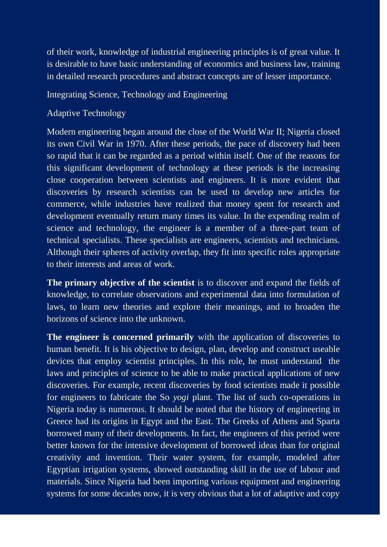of their work, knowledge of industrial engineering principles is of great value. It is desirable to have basic understanding of economics and business law, training in detailed research procedures and abstract concepts are of lesser importance.

Integrating Science, Technology and Engineering

# Adaptive Technology

Modern engineering began around the close of the World War II; Nigeria closed its own Civil War in 1970. After these periods, the pace of discovery had been so rapid that it can be regarded as a period within itself. One of the reasons for this significant development of technology at these periods is the increasing close cooperation between scientists and engineers. It is more evident that discoveries by research scientists can be used to develop new articles for commerce, while industries have realized that money spent for research and development eventually return many times its value. In the expending realm of science and technology, the engineer is a member of a three-part team of technical specialists. These specialists are engineers, scientists and technicians. Although their spheres of activity overlap, they fit into specific roles appropriate to their interests and areas of work.

**The primary objective of the scientist** is to discover and expand the fields of knowledge, to correlate observations and experimental data into formulation of laws, to learn new theories and explore their meanings, and to broaden the horizons of science into the unknown.

**The engineer is concerned primarily** with the application of discoveries to human benefit. It is his objective to design, plan, develop and construct useable devices that employ scientist principles. In this role, he must understand the laws and principles of science to be able to make practical applications of new discoveries. For example, recent discoveries by food scientists made it possible for engineers to fabricate the So *yogi* plant. The list of such co-operations in Nigeria today is numerous. It should be noted that the history of engineering in Greece had its origins in Egypt and the East. The Greeks of Athens and Sparta borrowed many of their developments. In fact, the engineers of this period were better known for the intensive development of borrowed ideas than for original creativity and invention. Their water system, for example, modeled after Egyptian irrigation systems, showed outstanding skill in the use of labour and materials. Since Nigeria had been importing various equipment and engineering systems for some decades now, it is very obvious that a lot of adaptive and copy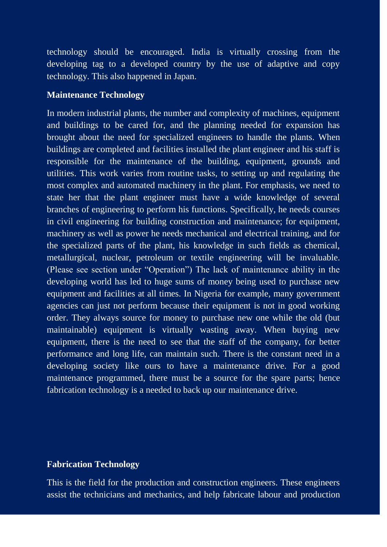technology should be encouraged. India is virtually crossing from the developing tag to a developed country by the use of adaptive and copy technology. This also happened in Japan.

#### **Maintenance Technology**

In modern industrial plants, the number and complexity of machines, equipment and buildings to be cared for, and the planning needed for expansion has brought about the need for specialized engineers to handle the plants. When buildings are completed and facilities installed the plant engineer and his staff is responsible for the maintenance of the building, equipment, grounds and utilities. This work varies from routine tasks, to setting up and regulating the most complex and automated machinery in the plant. For emphasis, we need to state her that the plant engineer must have a wide knowledge of several branches of engineering to perform his functions. Specifically, he needs courses in civil engineering for building construction and maintenance; for equipment, machinery as well as power he needs mechanical and electrical training, and for the specialized parts of the plant, his knowledge in such fields as chemical, metallurgical, nuclear, petroleum or textile engineering will be invaluable. (Please see section under "Operation") The lack of maintenance ability in the developing world has led to huge sums of money being used to purchase new equipment and facilities at all times. In Nigeria for example, many government agencies can just not perform because their equipment is not in good working order. They always source for money to purchase new one while the old (but maintainable) equipment is virtually wasting away. When buying new equipment, there is the need to see that the staff of the company, for better performance and long life, can maintain such. There is the constant need in a developing society like ours to have a maintenance drive. For a good maintenance programmed, there must be a source for the spare parts; hence fabrication technology is a needed to back up our maintenance drive.

# **Fabrication Technology**

This is the field for the production and construction engineers. These engineers assist the technicians and mechanics, and help fabricate labour and production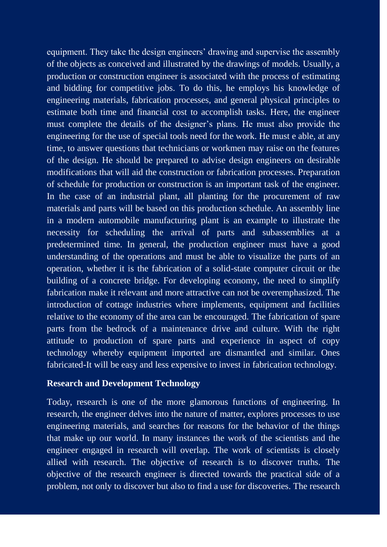equipment. They take the design engineers' drawing and supervise the assembly of the objects as conceived and illustrated by the drawings of models. Usually, a production or construction engineer is associated with the process of estimating and bidding for competitive jobs. To do this, he employs his knowledge of engineering materials, fabrication processes, and general physical principles to estimate both time and financial cost to accomplish tasks. Here, the engineer must complete the details of the designer"s plans. He must also provide the engineering for the use of special tools need for the work. He must e able, at any time, to answer questions that technicians or workmen may raise on the features of the design. He should be prepared to advise design engineers on desirable modifications that will aid the construction or fabrication processes. Preparation of schedule for production or construction is an important task of the engineer. In the case of an industrial plant, all planting for the procurement of raw materials and parts will be based on this production schedule. An assembly line in a modern automobile manufacturing plant is an example to illustrate the necessity for scheduling the arrival of parts and subassemblies at a predetermined time. In general, the production engineer must have a good understanding of the operations and must be able to visualize the parts of an operation, whether it is the fabrication of a solid-state computer circuit or the building of a concrete bridge. For developing economy, the need to simplify fabrication make it relevant and more attractive can not be overemphasized. The introduction of cottage industries where implements, equipment and facilities relative to the economy of the area can be encouraged. The fabrication of spare parts from the bedrock of a maintenance drive and culture. With the right attitude to production of spare parts and experience in aspect of copy technology whereby equipment imported are dismantled and similar. Ones fabricated-It will be easy and less expensive to invest in fabrication technology.

#### **Research and Development Technology**

Today, research is one of the more glamorous functions of engineering. In research, the engineer delves into the nature of matter, explores processes to use engineering materials, and searches for reasons for the behavior of the things that make up our world. In many instances the work of the scientists and the engineer engaged in research will overlap. The work of scientists is closely allied with research. The objective of research is to discover truths. The objective of the research engineer is directed towards the practical side of a problem, not only to discover but also to find a use for discoveries. The research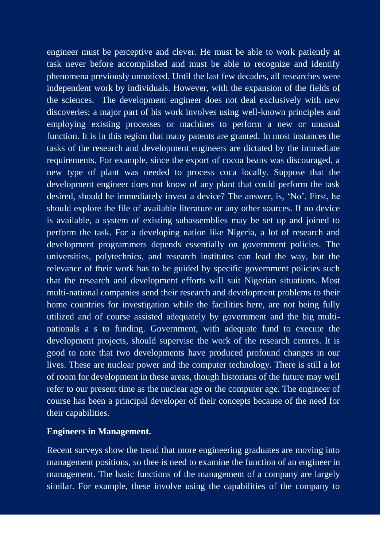engineer must be perceptive and clever. He must be able to work patiently at task never before accomplished and must be able to recognize and identify phenomena previously unnoticed. Until the last few decades, all researches were independent work by individuals. However, with the expansion of the fields of the sciences. The development engineer does not deal exclusively with new discoveries; a major part of his work involves using well-known principles and employing existing processes or machines to perform a new or unusual function. It is in this region that many patents are granted. In most instances the tasks of the research and development engineers are dictated by the immediate requirements. For example, since the export of cocoa beans was discouraged, a new type of plant was needed to process coca locally. Suppose that the development engineer does not know of any plant that could perform the task desired, should he immediately invest a device? The answer, is, "No". First, he should explore the file of available literature or any other sources. If no device is available, a system of existing subassemblies may be set up and joined to perform the task. For a developing nation like Nigeria, a lot of research and development programmers depends essentially on government policies. The universities, polytechnics, and research institutes can lead the way, but the relevance of their work has to be guided by specific government policies such that the research and development efforts will suit Nigerian situations. Most multi-national companies send their research and development problems to their home countries for investigation while the facilities here, are not being fully utilized and of course assisted adequately by government and the big multinationals a s to funding. Government, with adequate fund to execute the development projects, should supervise the work of the research centres. It is good to note that two developments have produced profound changes in our lives. These are nuclear power and the computer technology. There is still a lot of room for development in these areas, though historians of the future may well refer to our present time as the nuclear age or the computer age. The engineer of course has been a principal developer of their concepts because of the need for their capabilities.

# **Engineers in Management.**

Recent surveys show the trend that more engineering graduates are moving into management positions, so thee is need to examine the function of an engineer in management. The basic functions of the management of a company are largely similar. For example, these involve using the capabilities of the company to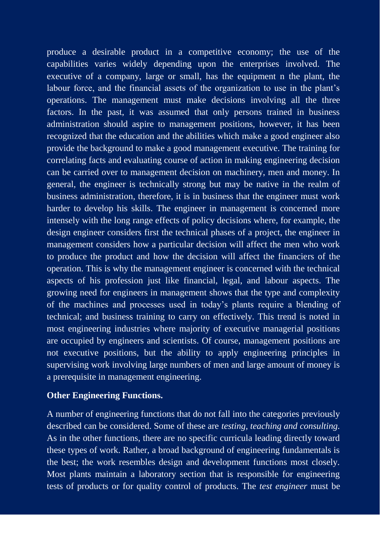produce a desirable product in a competitive economy; the use of the capabilities varies widely depending upon the enterprises involved. The executive of a company, large or small, has the equipment n the plant, the labour force, and the financial assets of the organization to use in the plant's operations. The management must make decisions involving all the three factors. In the past, it was assumed that only persons trained in business administration should aspire to management positions, however, it has been recognized that the education and the abilities which make a good engineer also provide the background to make a good management executive. The training for correlating facts and evaluating course of action in making engineering decision can be carried over to management decision on machinery, men and money. In general, the engineer is technically strong but may be native in the realm of business administration, therefore, it is in business that the engineer must work harder to develop his skills. The engineer in management is concerned more intensely with the long range effects of policy decisions where, for example, the design engineer considers first the technical phases of a project, the engineer in management considers how a particular decision will affect the men who work to produce the product and how the decision will affect the financiers of the operation. This is why the management engineer is concerned with the technical aspects of his profession just like financial, legal, and labour aspects. The growing need for engineers in management shows that the type and complexity of the machines and processes used in today"s plants require a blending of technical; and business training to carry on effectively. This trend is noted in most engineering industries where majority of executive managerial positions are occupied by engineers and scientists. Of course, management positions are not executive positions, but the ability to apply engineering principles in supervising work involving large numbers of men and large amount of money is a prerequisite in management engineering.

### **Other Engineering Functions.**

A number of engineering functions that do not fall into the categories previously described can be considered. Some of these are *testing, teaching and consulting.* As in the other functions, there are no specific curricula leading directly toward these types of work. Rather, a broad background of engineering fundamentals is the best; the work resembles design and development functions most closely. Most plants maintain a laboratory section that is responsible for engineering tests of products or for quality control of products. The *test engineer* must be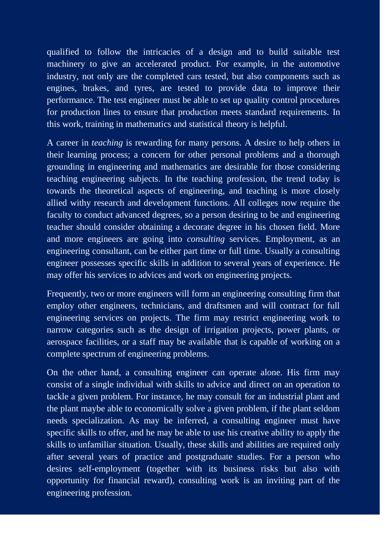qualified to follow the intricacies of a design and to build suitable test machinery to give an accelerated product. For example, in the automotive industry, not only are the completed cars tested, but also components such as engines, brakes, and tyres, are tested to provide data to improve their performance. The test engineer must be able to set up quality control procedures for production lines to ensure that production meets standard requirements. In this work, training in mathematics and statistical theory is helpful.

A career in *teaching* is rewarding for many persons. A desire to help others in their learning process; a concern for other personal problems and a thorough grounding in engineering and mathematics are desirable for those considering teaching engineering subjects. In the teaching profession, the trend today is towards the theoretical aspects of engineering, and teaching is more closely allied withy research and development functions. All colleges now require the faculty to conduct advanced degrees, so a person desiring to be and engineering teacher should consider obtaining a decorate degree in his chosen field. More and more engineers are going into *consulting* services. Employment, as an engineering consultant, can be either part time or full time. Usually a consulting engineer possesses specific skills in addition to several years of experience. He may offer his services to advices and work on engineering projects.

Frequently, two or more engineers will form an engineering consulting firm that employ other engineers, technicians, and draftsmen and will contract for full engineering services on projects. The firm may restrict engineering work to narrow categories such as the design of irrigation projects, power plants, or aerospace facilities, or a staff may be available that is capable of working on a complete spectrum of engineering problems.

On the other hand, a consulting engineer can operate alone. His firm may consist of a single individual with skills to advice and direct on an operation to tackle a given problem. For instance, he may consult for an industrial plant and the plant maybe able to economically solve a given problem, if the plant seldom needs specialization. As may be inferred, a consulting engineer must have specific skills to offer, and he may be able to use his creative ability to apply the skills to unfamiliar situation. Usually, these skills and abilities are required only after several years of practice and postgraduate studies. For a person who desires self-employment (together with its business risks but also with opportunity for financial reward), consulting work is an inviting part of the engineering profession.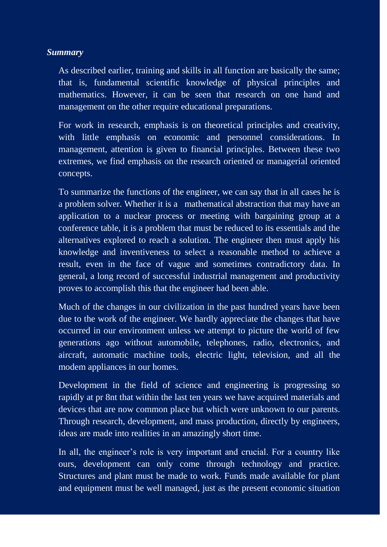# *Summary*

As described earlier, training and skills in all function are basically the same; that is, fundamental scientific knowledge of physical principles and mathematics. However, it can be seen that research on one hand and management on the other require educational preparations.

For work in research, emphasis is on theoretical principles and creativity, with little emphasis on economic and personnel considerations. In management, attention is given to financial principles. Between these two extremes, we find emphasis on the research oriented or managerial oriented concepts.

To summarize the functions of the engineer, we can say that in all cases he is a problem solver. Whether it is a mathematical abstraction that may have an application to a nuclear process or meeting with bargaining group at a conference table, it is a problem that must be reduced to its essentials and the alternatives explored to reach a solution. The engineer then must apply his knowledge and inventiveness to select a reasonable method to achieve a result, even in the face of vague and sometimes contradictory data. In general, a long record of successful industrial management and productivity proves to accomplish this that the engineer had been able.

Much of the changes in our civilization in the past hundred years have been due to the work of the engineer. We hardly appreciate the changes that have occurred in our environment unless we attempt to picture the world of few generations ago without automobile, telephones, radio, electronics, and aircraft, automatic machine tools, electric light, television, and all the modem appliances in our homes.

Development in the field of science and engineering is progressing so rapidly at pr 8nt that within the last ten years we have acquired materials and devices that are now common place but which were unknown to our parents. Through research, development, and mass production, directly by engineers, ideas are made into realities in an amazingly short time.

In all, the engineer's role is very important and crucial. For a country like ours, development can only come through technology and practice. Structures and plant must be made to work. Funds made available for plant and equipment must be well managed, just as the present economic situation